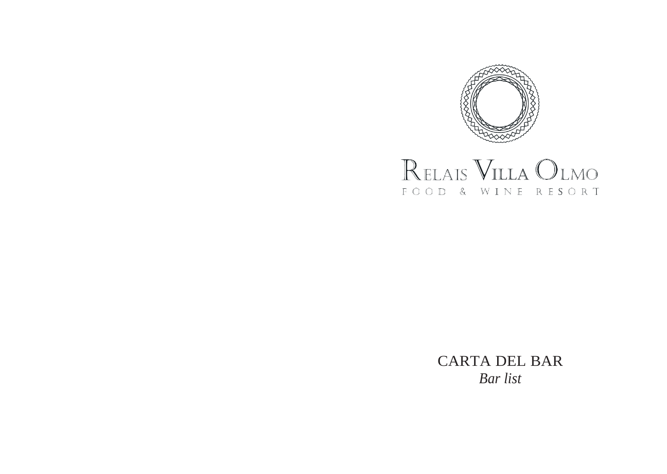



CARTA DEL BAR *Bar list*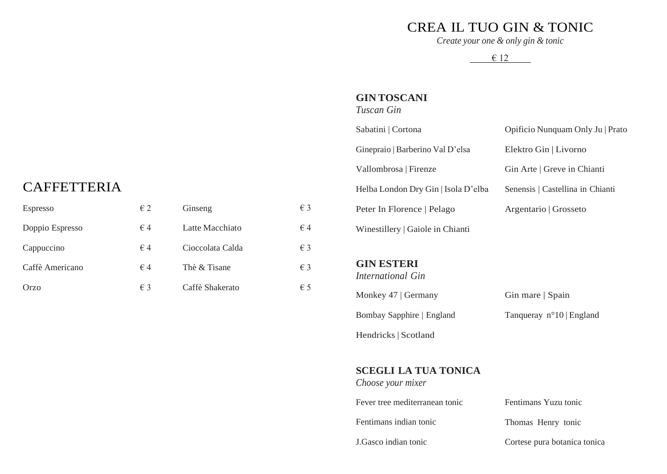### CREA IL TUO GIN & TONIC

*Create your one & only gin & tonic*

€ 12

#### **GIN TOSCANI**

*Tuscan Gin*

Sabatini | Cortona

Ginepraio | Barberino Val D'elsa

Vallombrosa | Firenze

Helba London Dry Gin | Isola D'elba

Peter In Florence | Pelago

Winestillery | Gaiole in Chianti

**GIN ESTERI** *International Gin* Elektro Gin | Livorno Gin Arte | Greve in Chianti Senensis | Castellina in Chianti Argentario | Grosseto

Opificio Nunquam Only Ju | Prato

## CAFFETTERIA

| Espresso        | $\epsilon$ 2 | Ginseng          | $\epsilon$ 3 |
|-----------------|--------------|------------------|--------------|
| Doppio Espresso | $\epsilon$ 4 | Latte Macchiato  | $\in$ 4      |
| Cappuccino      | $\epsilon$ 4 | Cioccolata Calda | $\epsilon$ 3 |
| Caffè Americano | $\epsilon$ 4 | Thè & Tisane     | $\epsilon$ 3 |
| Orzo            | € 3          | Caffè Shakerato  | $\epsilon$ 5 |

Monkey 47 | Germany Bombay Sapphire | England Hendricks | Scotland Gin mare | Spain Tanqueray n°10 | England

#### **SCEGLI LA TUA TONICA**

*Choose your mixer* Fever tree mediterranean tonic Fentimans indian tonic

J.Gasco indian tonic

Fentimans Yuzu tonic

Thomas Henry tonic

Cortese pura botanica tonica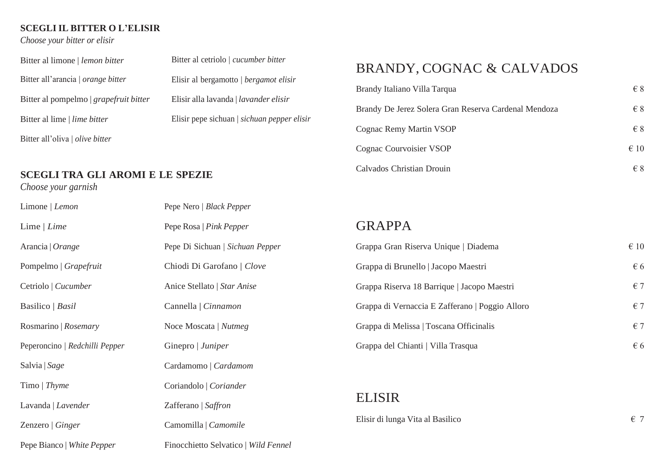#### **SCEGLI IL BITTER O L'ELISIR**

#### *Choose your bitter or elisir*

| Bitter al cetriolo   cucumber bitter        |
|---------------------------------------------|
| Elisir al bergamotto   bergamot elisir      |
| Elisir alla lavanda   lavander elisir       |
| Elisir pepe sichuan   sichuan pepper elisir |
|                                             |
|                                             |

### **SCEGLI TRA GLI AROMI E LE SPEZIE**

#### *Choose your garnish*

| Limone   Lemon                 | Pepe Nero   Black Pepper             |       |
|--------------------------------|--------------------------------------|-------|
| Lime $ $ Lime                  | Pepe Rosa   Pink Pepper              | GF    |
| Arancia   Orange               | Pepe Di Sichuan   Sichuan Pepper     | Grap  |
| Pompelmo   Grapefruit          | Chiodi Di Garofano   Clove           | Grap  |
| Cetriolo   Cucumber            | Anice Stellato   Star Anise          | Grap  |
| Basilico   Basil               | Cannella   Cinnamon                  | Grap  |
| Rosmarino   Rosemary           | Noce Moscata   Nutmeg                | Grap  |
| Peperoncino   Redchilli Pepper | Ginepro   Juniper                    | Grap  |
| Salvia   Sage                  | Cardamomo   Cardamom                 |       |
| Timo   Thyme                   | Coriandolo   Coriander               |       |
| Lavanda   Lavender             | Zafferano   Saffron                  | EL.   |
| Zenzero   Ginger               | Camomilla   Camomile                 | Elisi |
| Pepe Bianco   White Pepper     | Finocchietto Selvatico   Wild Fennel |       |

## BRANDY, COGNAC & CALVADOS

| Brandy Italiano Villa Tarqua                         | $\epsilon$ 8  |
|------------------------------------------------------|---------------|
| Brandy De Jerez Solera Gran Reserva Cardenal Mendoza | $\epsilon$ 8  |
| Cognac Remy Martin VSOP                              | $\epsilon$ 8  |
| Cognac Courvoisier VSOP                              | $\epsilon$ 10 |
| Calvados Christian Drouin                            | $\in$ 8       |

### RAPPA

| Grappa Gran Riserva Unique   Diadema            | $\epsilon$ 10 |
|-------------------------------------------------|---------------|
| Grappa di Brunello   Jacopo Maestri             | $\epsilon$ 6  |
| Grappa Riserva 18 Barrique   Jacopo Maestri     | $\epsilon$ 7  |
| Grappa di Vernaccia E Zafferano   Poggio Alloro | $\epsilon$ 7  |
| Grappa di Melissa   Toscana Officinalis         | $\epsilon$ 7  |
| Grappa del Chianti   Villa Trasqua              | $\epsilon$ 6  |

### **LISIR**

ir di lunga Vita al Basilico  $\epsilon$  7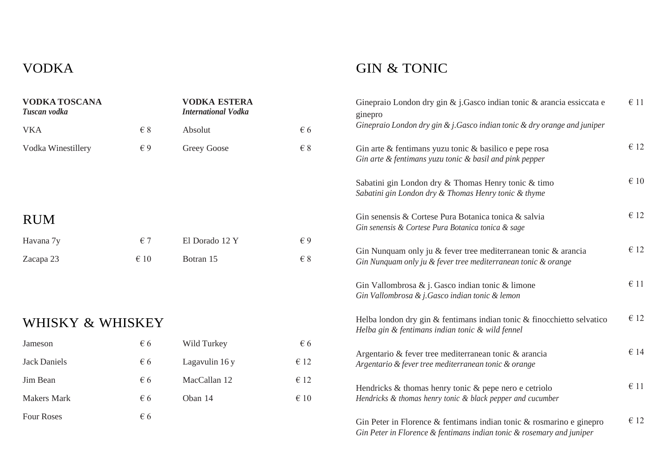## VODKA

## GIN & TONIC

| <b>VODKA TOSCANA</b><br>Tuscan vodka |              | <b>VODKA ESTERA</b><br><b>International Vodka</b> |               | Ginepraio London dry gin & j.Gasco indian tonic & arancia essiccata e<br>ginepro                                                              | $\epsilon$ 11 |
|--------------------------------------|--------------|---------------------------------------------------|---------------|-----------------------------------------------------------------------------------------------------------------------------------------------|---------------|
| <b>VKA</b>                           | $\in$ 8      | Absolut                                           | $\epsilon$ 6  | Ginepraio London dry gin $\&$ j. Gasco indian tonic $\&$ dry orange and juniper                                                               |               |
| Vodka Winestillery                   | $\epsilon$ 9 | Greey Goose                                       | $\in$ 8       | Gin arte & fentimans yuzu tonic & basilico e pepe rosa<br>Gin arte & fentimans yuzu tonic & basil and pink pepper                             | $\epsilon$ 12 |
|                                      |              |                                                   |               | Sabatini gin London dry & Thomas Henry tonic & timo<br>Sabatini gin London dry & Thomas Henry tonic & thyme                                   | $\epsilon$ 10 |
| <b>RUM</b>                           |              |                                                   |               | Gin senensis & Cortese Pura Botanica tonica & salvia<br>Gin senensis & Cortese Pura Botanica tonica & sage                                    | $\epsilon$ 12 |
| Havana 7y                            | $\epsilon$ 7 | El Dorado 12 Y                                    | $\epsilon$ 9  |                                                                                                                                               | $\epsilon$ 12 |
| Zacapa 23                            | $\in 10$     | Botran 15                                         | $\in$ 8       | Gin Nunquam only ju & fever tree mediterranean tonic & arancia<br>Gin Nunquam only ju & fever tree mediterranean tonic & orange               |               |
|                                      |              |                                                   |               | Gin Vallombrosa $\&$ j. Gasco indian tonic $\&$ limone<br>Gin Vallombrosa & j.Gasco indian tonic & lemon                                      | $\epsilon$ 11 |
| WHISKY & WHISKEY                     |              |                                                   |               | Helba london dry gin & fentimans indian tonic & finocchietto selvatico<br>Helba gin & fentimans indian tonic & wild fennel                    | $\epsilon$ 12 |
| Jameson                              | $\epsilon$ 6 | Wild Turkey                                       | $\epsilon$ 6  |                                                                                                                                               |               |
| <b>Jack Daniels</b>                  | $\epsilon$ 6 | Lagavulin 16 y                                    | $\epsilon$ 12 | Argentario & fever tree mediterranean tonic & arancia<br>Argentario & fever tree mediterranean tonic & orange                                 | $\epsilon$ 14 |
| Jim Bean                             | $\epsilon$ 6 | MacCallan 12                                      | $\epsilon$ 12 | Hendricks $\&$ thomas henry tonic $\&$ pepe nero e cetriolo                                                                                   | $\epsilon$ 11 |
| <b>Makers Mark</b>                   | $\epsilon$ 6 | Oban 14                                           | $\epsilon$ 10 | Hendricks & thomas henry tonic & black pepper and cucumber                                                                                    |               |
| <b>Four Roses</b>                    | $\epsilon$ 6 |                                                   |               | Gin Peter in Florence & fentimans indian tonic & rosmarino e ginepro<br>Gin Peter in Florence & fentimans indian tonic & rosemary and juniper | $\epsilon$ 12 |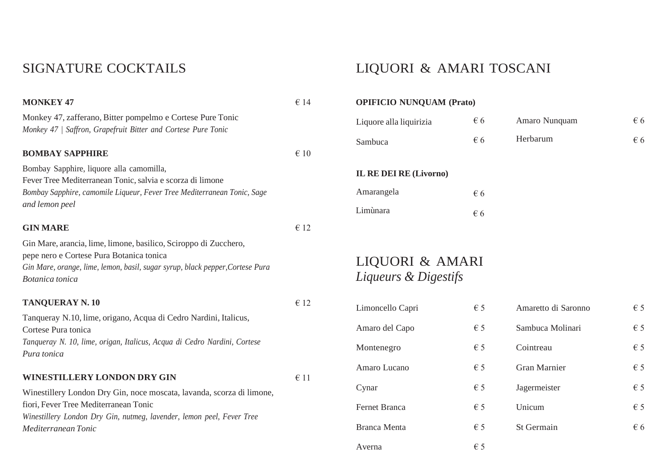### SIGNATURE COCKTAILS

### **MONKEY 47** Monkey 47, zafferano, Bitter pompelmo e Cortese Pure Tonic *Monkey 47 | Saffron, Grapefruit Bitter and Cortese Pure Tonic* **BOMBAY SAPPHIRE** Bombay Sapphire, liquore alla camomilla, Fever Tree Mediterranean Tonic, salvia e scorza di limone *Bombay Sapphire, camomile Liqueur, Fever Tree Mediterranean Tonic, Sage and lemon peel* € 14  $∈ 10$ € 12

€ 12

€ 11

Gin Mare, arancia, lime, limone, basilico, Sciroppo di Zucchero, pepe nero e Cortese Pura Botanica tonica *Gin Mare, orange, lime, lemon, basil, sugar syrup, black pepper,Cortese Pura Botanica tonica*

#### **TANQUERAY N. 10**

**GIN MARE**

Tanqueray N.10, lime, origano, Acqua di Cedro Nardini, Italicus, Cortese Pura tonica *Tanqueray N. 10, lime, origan, Italicus, Acqua di Cedro Nardini, Cortese Pura tonica*

#### **WINESTILLERY LONDON DRY GIN**

Winestillery London Dry Gin, noce moscata, lavanda, scorza di limone, fiori, Fever Tree Mediterranean Tonic *Winestillery London Dry Gin, nutmeg, lavender, lemon peel, Fever Tree Mediterranean Tonic*

## LIQUORI & AMARI TOSCANI

| <b>STILLER</b> REPORT (FIGU)  |              |               |     |
|-------------------------------|--------------|---------------|-----|
| Liquore alla liquirizia       | $\epsilon$ 6 | Amaro Nunquam | € 6 |
| Sambuca                       | $\epsilon$ 6 | Herbarum      | € 6 |
| <b>IL RE DEI RE (Livorno)</b> |              |               |     |
| Amarangela                    | $\epsilon$ 6 |               |     |
| Limùnara                      | $\epsilon$ 6 |               |     |
|                               |              |               |     |

LIQUORI & AMARI *Liqueurs & Digestifs*

**OPIFICIO NUNQUAM (Prato)**

| Limoncello Capri    | $\epsilon$ 5 | Amaretto di Saronno | $\epsilon$ 5 |
|---------------------|--------------|---------------------|--------------|
| Amaro del Capo      | $\epsilon$ 5 | Sambuca Molinari    | $\epsilon$ 5 |
| Montenegro          | $\epsilon$ 5 | Cointreau           | $\epsilon$ 5 |
| Amaro Lucano        | $\epsilon$ 5 | <b>Gran Marnier</b> | $\epsilon$ 5 |
| Cynar               | $\epsilon$ 5 | Jagermeister        | $\epsilon$ 5 |
| Fernet Branca       | $\epsilon$ 5 | Unicum              | $\epsilon$ 5 |
| <b>Branca Menta</b> | $\epsilon$ 5 | St Germain          | $\epsilon$ 6 |
| Averna              | $\epsilon$ 5 |                     |              |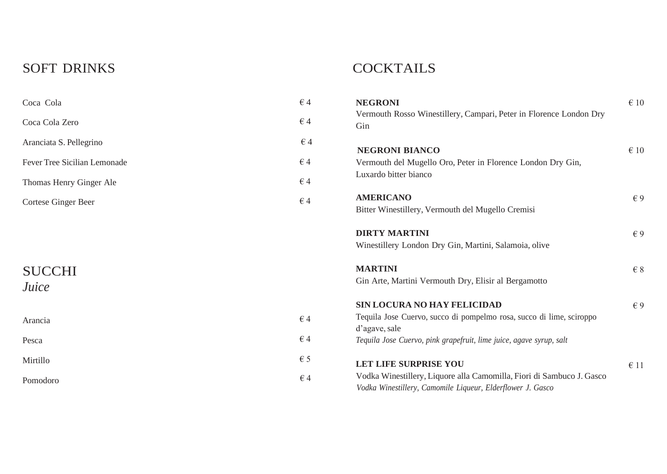## SOFT DRINKS

## **COCKTAILS**

| Coca Cola                    | $\in$ 4      | <b>NEGRONI</b>                                                                                                                      | $\epsilon$ 10 |
|------------------------------|--------------|-------------------------------------------------------------------------------------------------------------------------------------|---------------|
| Coca Cola Zero               | $\epsilon$ 4 | Vermouth Rosso Winestillery, Campari, Peter in Florence London Dry<br>Gin                                                           |               |
| Aranciata S. Pellegrino      | $\epsilon$ 4 | <b>NEGRONI BIANCO</b>                                                                                                               | $\epsilon$ 10 |
| Fever Tree Sicilian Lemonade | $\epsilon$ 4 | Vermouth del Mugello Oro, Peter in Florence London Dry Gin,                                                                         |               |
| Thomas Henry Ginger Ale      | $\epsilon$ 4 | Luxardo bitter bianco                                                                                                               |               |
| Cortese Ginger Beer          | $\in$ 4      | <b>AMERICANO</b><br>Bitter Winestillery, Vermouth del Mugello Cremisi                                                               | $\epsilon$ 9  |
|                              |              | <b>DIRTY MARTINI</b><br>Winestillery London Dry Gin, Martini, Salamoia, olive                                                       | $\epsilon$ 9  |
| <b>SUCCHI</b><br>Juice       |              | <b>MARTINI</b><br>Gin Arte, Martini Vermouth Dry, Elisir al Bergamotto                                                              | $\in$ 8       |
|                              |              | <b>SIN LOCURA NO HAY FELICIDAD</b>                                                                                                  | $\epsilon$ 9  |
| Arancia                      | $\in$ 4      | Tequila Jose Cuervo, succo di pompelmo rosa, succo di lime, sciroppo<br>d'agave, sale                                               |               |
| Pesca                        | $\in$ 4      | Tequila Jose Cuervo, pink grapefruit, lime juice, agave syrup, salt                                                                 |               |
| Mirtillo                     | $\epsilon$ 5 | <b>LET LIFE SURPRISE YOU</b>                                                                                                        | $\epsilon$ 11 |
| Pomodoro                     | $\in$ 4      | Vodka Winestillery, Liquore alla Camomilla, Fiori di Sambuco J. Gasco<br>Vodka Winestillery, Camomile Liqueur, Elderflower J. Gasco |               |